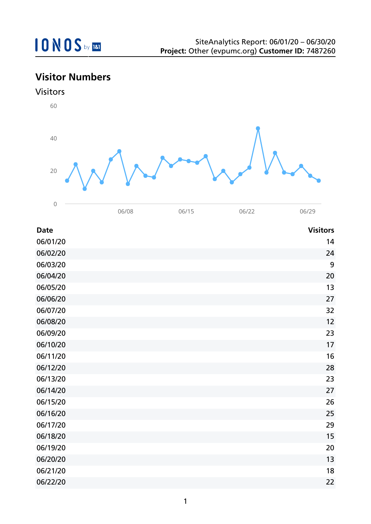## **Visitor Numbers**





| <b>Date</b> | <b>Visitors</b> |
|-------------|-----------------|
|             |                 |
| 06/01/20    | 14              |
| 06/02/20    | 24              |
| 06/03/20    | 9               |
| 06/04/20    | 20              |
| 06/05/20    | 13              |
| 06/06/20    | 27              |
| 06/07/20    | 32              |
| 06/08/20    | 12              |
| 06/09/20    | 23              |
| 06/10/20    | 17              |
| 06/11/20    | 16              |
| 06/12/20    | 28              |
| 06/13/20    | 23              |
| 06/14/20    | 27              |
| 06/15/20    | 26              |
| 06/16/20    | 25              |
| 06/17/20    | 29              |
| 06/18/20    | 15              |
| 06/19/20    | 20              |
| 06/20/20    | 13              |
| 06/21/20    | 18              |
| 06/22/20    | 22              |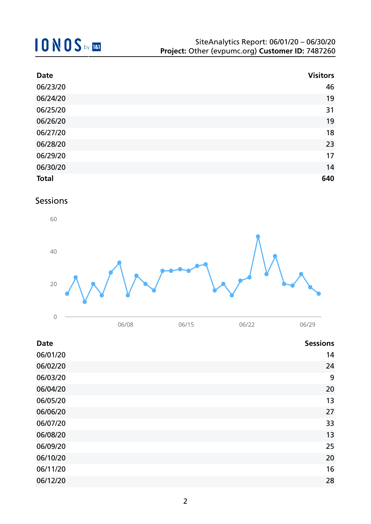| <b>Date</b>  | <b>Visitors</b> |
|--------------|-----------------|
| 06/23/20     | 46              |
| 06/24/20     | 19              |
| 06/25/20     | 31              |
| 06/26/20     | 19              |
| 06/27/20     | 18              |
| 06/28/20     | 23              |
| 06/29/20     | 17              |
| 06/30/20     | 14              |
| <b>Total</b> | 640             |

### Sessions



| <b>Date</b> | <b>Sessions</b> |
|-------------|-----------------|
| 06/01/20    | 14              |
| 06/02/20    | 24              |
| 06/03/20    | 9               |
| 06/04/20    | 20              |
| 06/05/20    | 13              |
| 06/06/20    | 27              |
| 06/07/20    | 33              |
| 06/08/20    | 13              |
| 06/09/20    | 25              |
| 06/10/20    | 20              |
| 06/11/20    | 16              |
| 06/12/20    | 28              |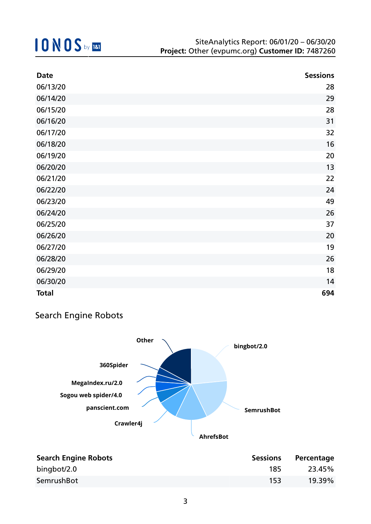| <b>Date</b>  | <b>Sessions</b> |
|--------------|-----------------|
| 06/13/20     | 28              |
| 06/14/20     | 29              |
| 06/15/20     | 28              |
| 06/16/20     | 31              |
| 06/17/20     | 32              |
| 06/18/20     | 16              |
| 06/19/20     | 20              |
| 06/20/20     | 13              |
| 06/21/20     | 22              |
| 06/22/20     | 24              |
| 06/23/20     | 49              |
| 06/24/20     | 26              |
| 06/25/20     | 37              |
| 06/26/20     | 20              |
| 06/27/20     | 19              |
| 06/28/20     | 26              |
| 06/29/20     | 18              |
| 06/30/20     | 14              |
| <b>Total</b> | 694             |

### Search Engine Robots



| <b>Search Engine Robots</b> | <b>Sessions</b> | Percentage |
|-----------------------------|-----------------|------------|
| bingbot/2.0                 | 185             | 23.45%     |
| SemrushBot                  | 153             | 19.39%     |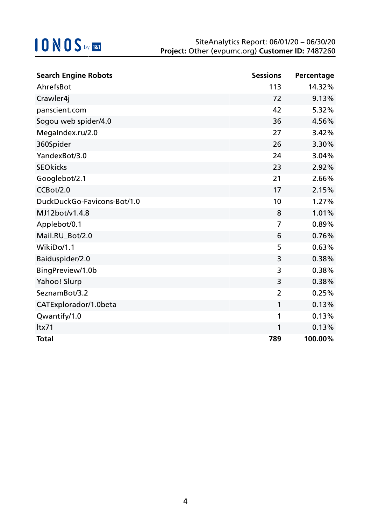| <b>Search Engine Robots</b> | <b>Sessions</b> | Percentage |
|-----------------------------|-----------------|------------|
| AhrefsBot                   | 113             | 14.32%     |
| Crawler4j                   | 72              | 9.13%      |
| panscient.com               | 42              | 5.32%      |
| Sogou web spider/4.0        | 36              | 4.56%      |
| MegaIndex.ru/2.0            | 27              | 3.42%      |
| 360Spider                   | 26              | 3.30%      |
| YandexBot/3.0               | 24              | 3.04%      |
| <b>SEOkicks</b>             | 23              | 2.92%      |
| Googlebot/2.1               | 21              | 2.66%      |
| CCBot/2.0                   | 17              | 2.15%      |
| DuckDuckGo-Favicons-Bot/1.0 | 10              | 1.27%      |
| MJ12bot/v1.4.8              | 8               | 1.01%      |
| Applebot/0.1                | $\overline{7}$  | 0.89%      |
| Mail.RU_Bot/2.0             | 6               | 0.76%      |
| WikiDo/1.1                  | 5               | 0.63%      |
| Baiduspider/2.0             | 3               | 0.38%      |
| BingPreview/1.0b            | 3               | 0.38%      |
| Yahoo! Slurp                | 3               | 0.38%      |
| SeznamBot/3.2               | $\overline{2}$  | 0.25%      |
| CATExplorador/1.0beta       | 1               | 0.13%      |
| Qwantify/1.0                | 1               | 0.13%      |
| Itx71                       | 1               | 0.13%      |
| <b>Total</b>                | 789             | 100.00%    |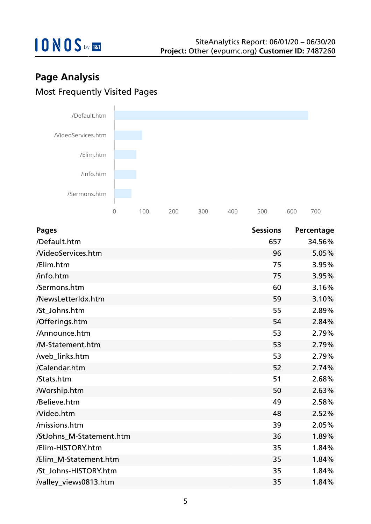

## **Page Analysis** Most Frequently Visited Pages



| <b>Pages</b>             | <b>Sessions</b> | Percentage |
|--------------------------|-----------------|------------|
| /Default.htm             | 657             | 34.56%     |
| <b>NideoServices.htm</b> | 96              | 5.05%      |
| /Elim.htm                | 75              | 3.95%      |
| /info.htm                | 75              | 3.95%      |
| /Sermons.htm             | 60              | 3.16%      |
| /NewsLetterIdx.htm       | 59              | 3.10%      |
| /St_Johns.htm            | 55              | 2.89%      |
| /Offerings.htm           | 54              | 2.84%      |
| /Announce.htm            | 53              | 2.79%      |
| /M-Statement.htm         | 53              | 2.79%      |
| /web_links.htm           | 53              | 2.79%      |
| /Calendar.htm            | 52              | 2.74%      |
| /Stats.htm               | 51              | 2.68%      |
| <b>Morship.htm</b>       | 50              | 2.63%      |
| /Believe.htm             | 49              | 2.58%      |
| Nideo.htm                | 48              | 2.52%      |
| /missions.htm            | 39              | 2.05%      |
| /StJohns M-Statement.htm | 36              | 1.89%      |
| /Elim-HISTORY.htm        | 35              | 1.84%      |
| /Elim_M-Statement.htm    | 35              | 1.84%      |
| /St_Johns-HISTORY.htm    | 35              | 1.84%      |
| /valley_views0813.htm    | 35              | 1.84%      |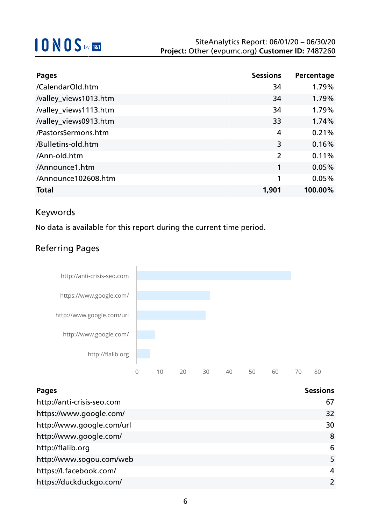| <b>Pages</b>          | <b>Sessions</b> | Percentage |
|-----------------------|-----------------|------------|
| /CalendarOld.htm      | 34              | 1.79%      |
| /valley_views1013.htm | 34              | 1.79%      |
| /valley_views1113.htm | 34              | 1.79%      |
| /valley_views0913.htm | 33              | 1.74%      |
| /PastorsSermons.htm   | 4               | 0.21%      |
| /Bulletins-old.htm    | 3               | 0.16%      |
| /Ann-old.htm          | 2               | 0.11%      |
| /Announce1.htm        | 1               | 0.05%      |
| /Announce102608.htm   | 1               | 0.05%      |
| <b>Total</b>          | 1,901           | 100.00%    |

### Keywords

No data is available for this report during the current time period.

### Referring Pages



| Pages                      | <b>Sessions</b> |
|----------------------------|-----------------|
| http://anti-crisis-seo.com | 67              |
| https://www.google.com/    | 32              |
| http://www.google.com/url  | 30              |
| http://www.google.com/     | 8               |
| http://flalib.org          | 6               |
| http://www.sogou.com/web   | 5               |
| https://l.facebook.com/    | 4               |
| https://duckduckgo.com/    | $\overline{2}$  |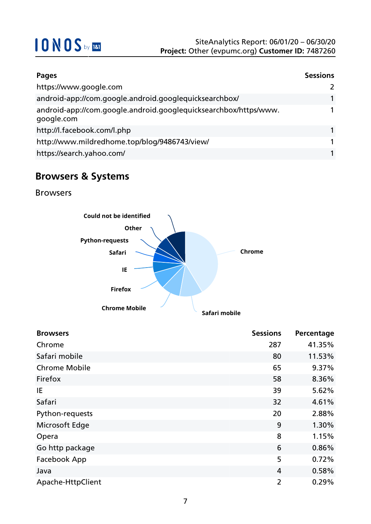| <b>Pages</b>                                                                   | <b>Sessions</b> |
|--------------------------------------------------------------------------------|-----------------|
| https://www.google.com                                                         |                 |
| android-app://com.google.android.googlequicksearchbox/                         |                 |
| android-app://com.google.android.googlequicksearchbox/https/www.<br>google.com |                 |
| http://l.facebook.com/l.php                                                    | 1               |
| http://www.mildredhome.top/blog/9486743/view/                                  | 1               |
| https://search.yahoo.com/                                                      |                 |

## **Browsers & Systems**

Browsers



| <b>Browsers</b>      | <b>Sessions</b> | Percentage |
|----------------------|-----------------|------------|
| Chrome               | 287             | 41.35%     |
| Safari mobile        | 80              | 11.53%     |
| <b>Chrome Mobile</b> | 65              | 9.37%      |
| Firefox              | 58              | 8.36%      |
| IE                   | 39              | 5.62%      |
| Safari               | 32              | 4.61%      |
| Python-requests      | 20              | 2.88%      |
| Microsoft Edge       | 9               | 1.30%      |
| Opera                | 8               | 1.15%      |
| Go http package      | 6               | 0.86%      |
| Facebook App         | 5               | 0.72%      |
| Java                 | 4               | 0.58%      |
| Apache-HttpClient    | $\overline{2}$  | 0.29%      |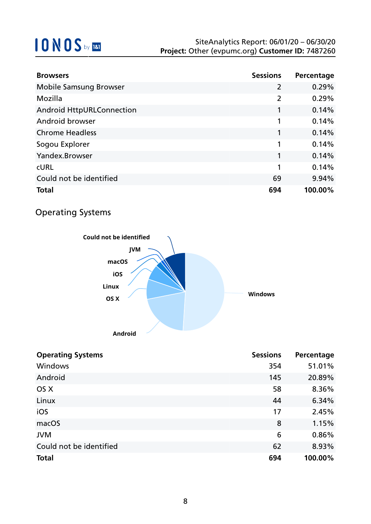| <b>Browsers</b>                  | <b>Sessions</b> | Percentage |
|----------------------------------|-----------------|------------|
| <b>Mobile Samsung Browser</b>    | $\overline{2}$  | 0.29%      |
| Mozilla                          | $\overline{2}$  | 0.29%      |
| <b>Android HttpURLConnection</b> |                 | 0.14%      |
| Android browser                  | 1               | 0.14%      |
| <b>Chrome Headless</b>           | 1               | 0.14%      |
| Sogou Explorer                   | 1               | 0.14%      |
| Yandex.Browser                   | 1               | 0.14%      |
| <b>CURL</b>                      | 1               | 0.14%      |
| Could not be identified          | 69              | 9.94%      |
| <b>Total</b>                     | 694             | 100.00%    |

### Operating Systems



| <b>Operating Systems</b> | <b>Sessions</b> | Percentage |
|--------------------------|-----------------|------------|
| Windows                  | 354             | 51.01%     |
| Android                  | 145             | 20.89%     |
| OS X                     | 58              | 8.36%      |
| Linux                    | 44              | 6.34%      |
| iOS                      | 17              | 2.45%      |
| macOS                    | 8               | 1.15%      |
| <b>JVM</b>               | 6               | 0.86%      |
| Could not be identified  | 62              | 8.93%      |
| <b>Total</b>             | 694             | 100.00%    |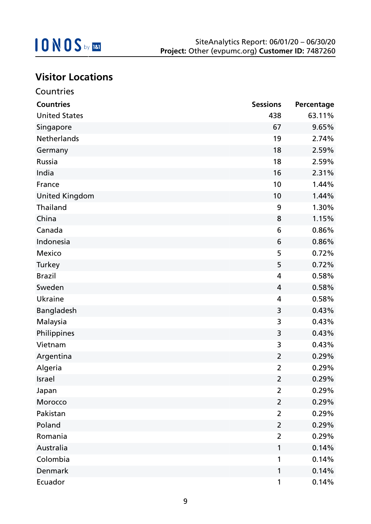## **Visitor Locations**

| Countries             |                 |            |
|-----------------------|-----------------|------------|
| <b>Countries</b>      | <b>Sessions</b> | Percentage |
| <b>United States</b>  | 438             | 63.11%     |
| Singapore             | 67              | 9.65%      |
| <b>Netherlands</b>    | 19              | 2.74%      |
| Germany               | 18              | 2.59%      |
| Russia                | 18              | 2.59%      |
| India                 | 16              | 2.31%      |
| France                | 10              | 1.44%      |
| <b>United Kingdom</b> | 10              | 1.44%      |
| Thailand              | 9               | 1.30%      |
| China                 | 8               | 1.15%      |
| Canada                | 6               | 0.86%      |
| Indonesia             | 6               | 0.86%      |
| <b>Mexico</b>         | 5               | 0.72%      |
| Turkey                | 5               | 0.72%      |
| <b>Brazil</b>         | 4               | 0.58%      |
| Sweden                | 4               | 0.58%      |
| Ukraine               | 4               | 0.58%      |
| Bangladesh            | 3               | 0.43%      |
| Malaysia              | 3               | 0.43%      |
| Philippines           | 3               | 0.43%      |
| Vietnam               | 3               | 0.43%      |
| Argentina             | 2               | 0.29%      |
| Algeria               | 2               | 0.29%      |
| Israel                | $\overline{2}$  | 0.29%      |
| Japan                 | $\overline{2}$  | 0.29%      |
| Morocco               | 2               | 0.29%      |
| Pakistan              | $\overline{2}$  | 0.29%      |
| Poland                | $\overline{2}$  | 0.29%      |
| Romania               | $\overline{2}$  | 0.29%      |
| Australia             | 1               | 0.14%      |
| Colombia              | 1               | 0.14%      |
| Denmark               | 1               | 0.14%      |
| Ecuador               | $\mathbf 1$     | 0.14%      |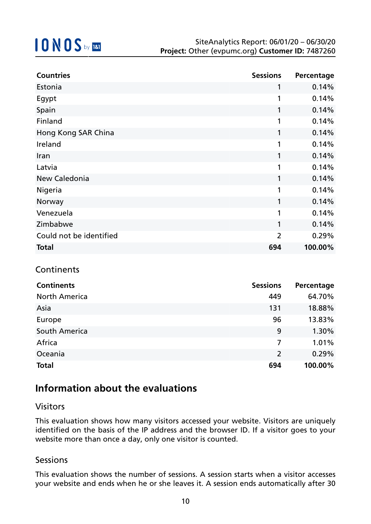| <b>Countries</b>        | <b>Sessions</b> | Percentage |
|-------------------------|-----------------|------------|
| Estonia                 | 1               | 0.14%      |
| Egypt                   | 1               | 0.14%      |
| Spain                   | 1               | 0.14%      |
| Finland                 | $\mathbf{1}$    | 0.14%      |
| Hong Kong SAR China     | 1               | 0.14%      |
| Ireland                 | 1               | 0.14%      |
| Iran                    | $\mathbf{1}$    | 0.14%      |
| Latvia                  | $\mathbf{1}$    | 0.14%      |
| New Caledonia           | 1               | 0.14%      |
| Nigeria                 | 1               | 0.14%      |
| Norway                  | $\mathbf{1}$    | 0.14%      |
| Venezuela               | 1               | 0.14%      |
| Zimbabwe                | 1               | 0.14%      |
| Could not be identified | 2               | 0.29%      |
| <b>Total</b>            | 694             | 100.00%    |

### **Continents**

| <b>Continents</b>    | <b>Sessions</b> | Percentage |
|----------------------|-----------------|------------|
| <b>North America</b> | 449             | 64.70%     |
| Asia                 | 131             | 18.88%     |
| Europe               | 96              | 13.83%     |
| South America        | 9               | 1.30%      |
| Africa               | $\overline{7}$  | 1.01%      |
| Oceania              | $\overline{2}$  | 0.29%      |
| <b>Total</b>         | 694             | 100.00%    |

### **Information about the evaluations**

#### Visitors

This evaluation shows how many visitors accessed your website. Visitors are uniquely identified on the basis of the IP address and the browser ID. If a visitor goes to your website more than once a day, only one visitor is counted.

#### Sessions

This evaluation shows the number of sessions. A session starts when a visitor accesses your website and ends when he or she leaves it. A session ends automatically after 30